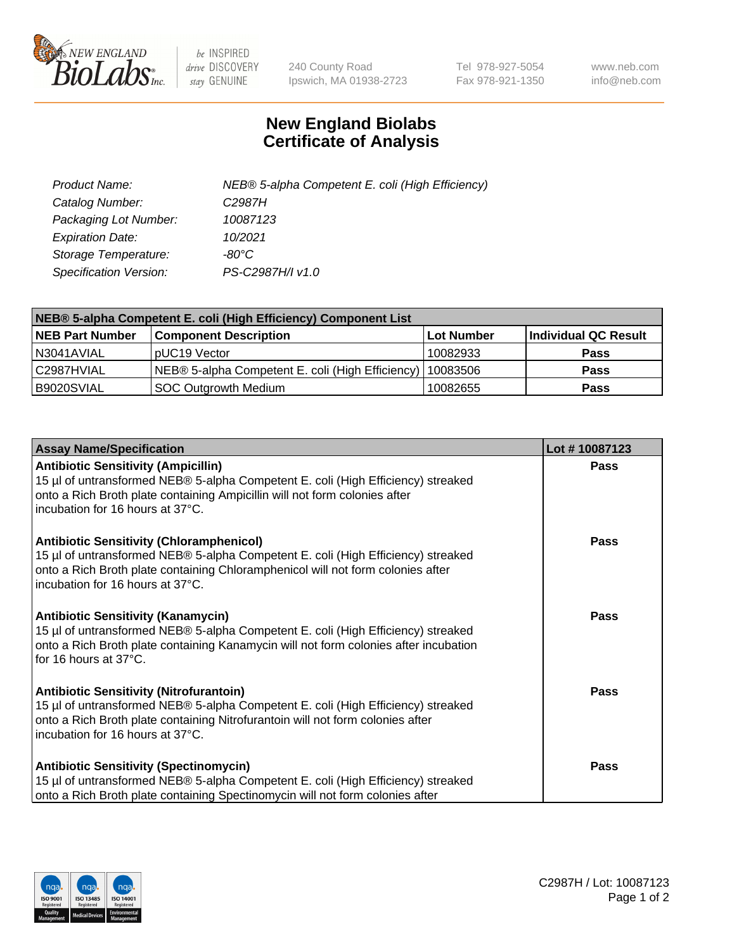

 $be$  INSPIRED drive DISCOVERY stay GENUINE

240 County Road Ipswich, MA 01938-2723 Tel 978-927-5054 Fax 978-921-1350 www.neb.com info@neb.com

## **New England Biolabs Certificate of Analysis**

| Product Name:           | NEB® 5-alpha Competent E. coli (High Efficiency) |
|-------------------------|--------------------------------------------------|
| Catalog Number:         | C <sub>2987</sub> H                              |
| Packaging Lot Number:   | 10087123                                         |
| <b>Expiration Date:</b> | 10/2021                                          |
| Storage Temperature:    | -80°C                                            |
| Specification Version:  | PS-C2987H/I v1.0                                 |

| NEB® 5-alpha Competent E. coli (High Efficiency) Component List |                                                             |                   |                      |  |
|-----------------------------------------------------------------|-------------------------------------------------------------|-------------------|----------------------|--|
| <b>NEB Part Number</b>                                          | <b>Component Description</b>                                | <b>Lot Number</b> | Individual QC Result |  |
| N3041AVIAL                                                      | pUC19 Vector                                                | 10082933          | <b>Pass</b>          |  |
| C2987HVIAL                                                      | NEB® 5-alpha Competent E. coli (High Efficiency)   10083506 |                   | <b>Pass</b>          |  |
| B9020SVIAL                                                      | SOC Outgrowth Medium                                        | 10082655          | <b>Pass</b>          |  |

| <b>Assay Name/Specification</b>                                                                                                                                                                                                                            | Lot #10087123 |
|------------------------------------------------------------------------------------------------------------------------------------------------------------------------------------------------------------------------------------------------------------|---------------|
| <b>Antibiotic Sensitivity (Ampicillin)</b><br>15 µl of untransformed NEB® 5-alpha Competent E. coli (High Efficiency) streaked<br>onto a Rich Broth plate containing Ampicillin will not form colonies after<br>incubation for 16 hours at 37°C.           | <b>Pass</b>   |
| <b>Antibiotic Sensitivity (Chloramphenicol)</b><br>15 µl of untransformed NEB® 5-alpha Competent E. coli (High Efficiency) streaked<br>onto a Rich Broth plate containing Chloramphenicol will not form colonies after<br>incubation for 16 hours at 37°C. | Pass          |
| Antibiotic Sensitivity (Kanamycin)<br>15 µl of untransformed NEB® 5-alpha Competent E. coli (High Efficiency) streaked<br>onto a Rich Broth plate containing Kanamycin will not form colonies after incubation<br>for 16 hours at 37°C.                    | Pass          |
| <b>Antibiotic Sensitivity (Nitrofurantoin)</b><br>15 µl of untransformed NEB® 5-alpha Competent E. coli (High Efficiency) streaked<br>onto a Rich Broth plate containing Nitrofurantoin will not form colonies after<br>incubation for 16 hours at 37°C.   | <b>Pass</b>   |
| <b>Antibiotic Sensitivity (Spectinomycin)</b><br>15 µl of untransformed NEB® 5-alpha Competent E. coli (High Efficiency) streaked<br>onto a Rich Broth plate containing Spectinomycin will not form colonies after                                         | Pass          |